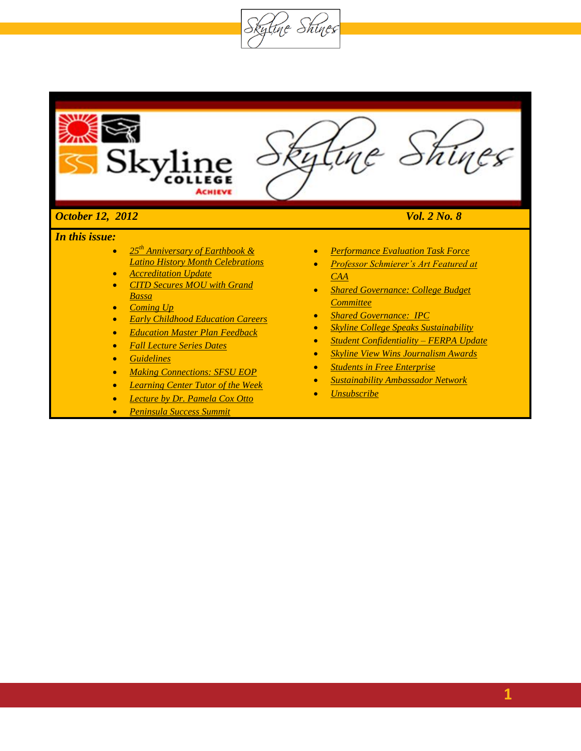Skytine Shines



- *25th Anniversary of Earthbook & Latino History Month Celebrations*
- *Accreditation Update*
- *CITD Secures MOU with Grand Bassa*
- *Coming Up*
- *Early Childhood Education Careers*
- *Education Master Plan Feedback*
- *Fall Lecture Series Dates*
- *Guidelines*
- *Making Connections: SFSU EOP*
- *Learning Center Tutor of the Week*
- *Lecture by Dr. Pamela Cox Otto*
- *[Peninsula Success Summit](#page-3-0)*
- *[Performance Evaluation Task Force](#page-17-0)*
- *Professor Schmierer's Art Featured at CAA*
- *Shared Governance: College Budget Committee*
- *[Shared Governance:](#page-14-0) IPC*
- *Skyline College Speaks Sustainability*
- *Student Confidentiality – FERPA Update*
- *Skyline View Wins Journalism Awards*
- *Students in Free Enterprise*
- *Sustainability Ambassador Network*
- *Unsubscribe*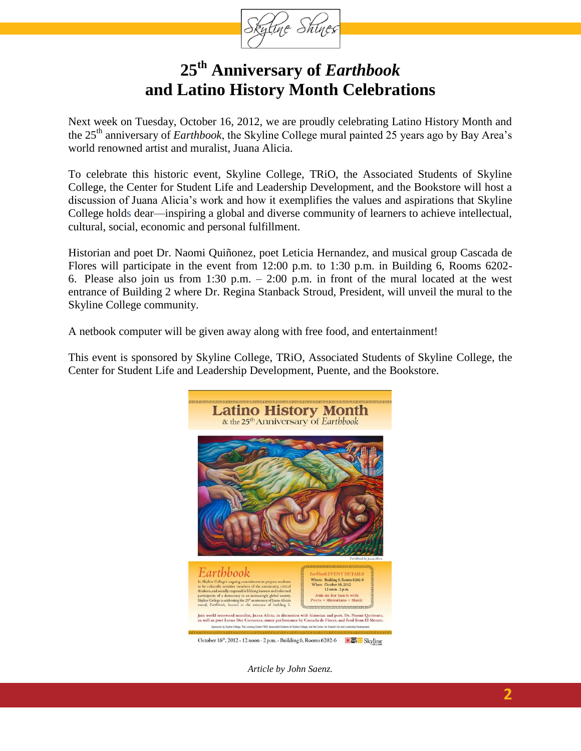

# **25th Anniversary of** *Earthbook* **and Latino History Month Celebrations**

Next week on Tuesday, October 16, 2012, we are proudly celebrating Latino History Month and the 25th anniversary of *Earthbook*, the Skyline College mural painted 25 years ago by Bay Area's world renowned artist and muralist, Juana Alicia.

To celebrate this historic event, Skyline College, TRiO, the Associated Students of Skyline College, the Center for Student Life and Leadership Development, and the Bookstore will host a discussion of Juana Alicia's work and how it exemplifies the values and aspirations that Skyline College holds dear—inspiring a global and diverse community of learners to achieve intellectual, cultural, social, economic and personal fulfillment.

Historian and poet Dr. Naomi Quiñonez, poet Leticia Hernandez, and musical group Cascada de Flores will participate in the event from 12:00 p.m. to 1:30 p.m. in Building 6, Rooms 6202- 6. Please also join us from 1:30 p.m. – 2:00 p.m. in front of the mural located at the west entrance of Building 2 where Dr. Regina Stanback Stroud, President, will unveil the mural to the Skyline College community.

A netbook computer will be given away along with free food, and entertainment!

This event is sponsored by Skyline College, TRiO, Associated Students of Skyline College, the Center for Student Life and Leadership Development, Puente, and the Bookstore.



*Article by John Saenz.*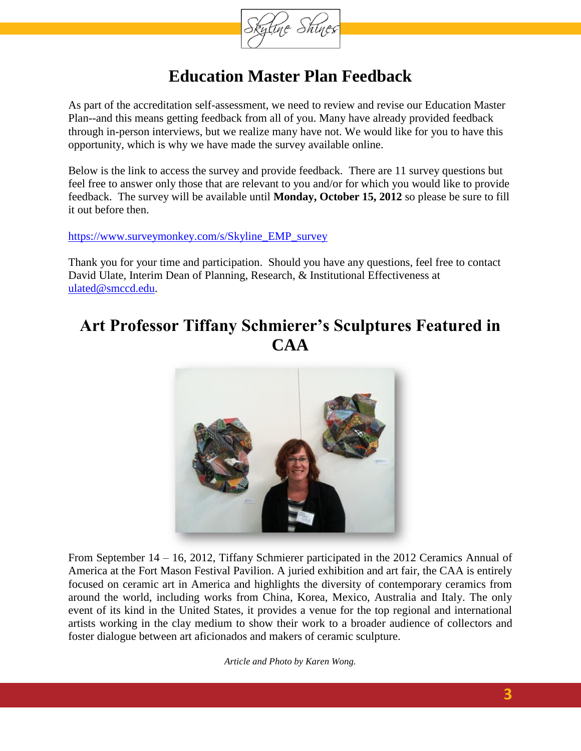

# **Education Master Plan Feedback**

As part of the accreditation self-assessment, we need to review and revise our Education Master Plan--and this means getting feedback from all of you. Many have already provided feedback through in-person interviews, but we realize many have not. We would like for you to have this opportunity, which is why we have made the survey available online.

Below is the link to access the survey and provide feedback. There are 11 survey questions but feel free to answer only those that are relevant to you and/or for which you would like to provide feedback. The survey will be available until **Monday, October 15, 2012** so please be sure to fill it out before then.

#### [https://www.surveymonkey.com/s/Skyline\\_EMP\\_survey](https://www.surveymonkey.com/s/Skyline_EMP_survey)

Thank you for your time and participation. Should you have any questions, feel free to contact David Ulate, Interim Dean of Planning, Research, & Institutional Effectiveness at [ulated@smccd.edu.](mailto:ulated@smccd.edu)

## **Art Professor Tiffany Schmierer's Sculptures Featured in CAA**



From September 14 – 16, 2012, Tiffany Schmierer participated in the 2012 Ceramics Annual of America at the Fort Mason Festival Pavilion. A juried exhibition and art fair, the CAA is entirely focused on ceramic art in America and highlights the diversity of contemporary ceramics from around the world, including works from China, Korea, Mexico, Australia and Italy. The only event of its kind in the United States, it provides a venue for the top regional and international artists working in the clay medium to show their work to a broader audience of collectors and foster dialogue between art aficionados and makers of ceramic sculpture.

*Article and Photo by Karen Wong.*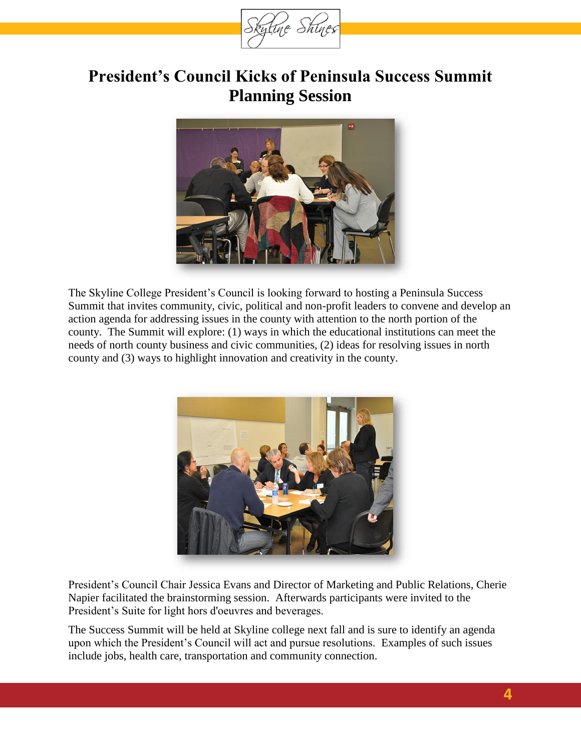

# <span id="page-3-0"></span>**President's Council Kicks of Peninsula Success Summit Planning Session**



The Skyline College President's Council is looking forward to hosting a Peninsula Success Summit that invites community, civic, political and non-profit leaders to convene and develop an action agenda for addressing issues in the county with attention to the north portion of the county. The Summit will explore: (1) ways in which the educational institutions can meet the needs of north county business and civic communities, (2) ideas for resolving issues in north county and (3) ways to highlight innovation and creativity in the county.



President's Council Chair Jessica Evans and Director of Marketing and Public Relations, Cherie Napier facilitated the brainstorming session. Afterwards participants were invited to the President's Suite for light hors d'oeuvres and beverages.

The Success Summit will be held at Skyline college next fall and is sure to identify an agenda upon which the President's Council will act and pursue resolutions. Examples of such issues include jobs, health care, transportation and community connection.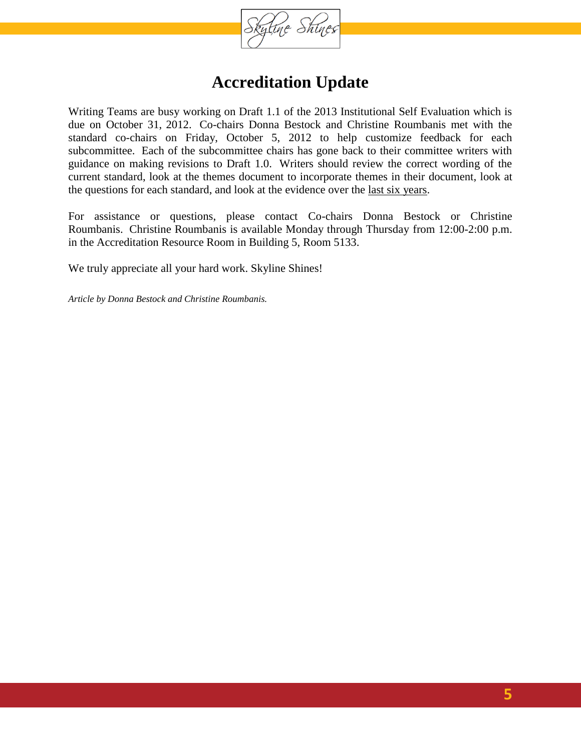

## **Accreditation Update**

Writing Teams are busy working on Draft 1.1 of the 2013 Institutional Self Evaluation which is due on October 31, 2012. Co-chairs Donna Bestock and Christine Roumbanis met with the standard co-chairs on Friday, October 5, 2012 to help customize feedback for each subcommittee. Each of the subcommittee chairs has gone back to their committee writers with guidance on making revisions to Draft 1.0. Writers should review the correct wording of the current standard, look at the themes document to incorporate themes in their document, look at the questions for each standard, and look at the evidence over the last six years.

For assistance or questions, please contact Co-chairs Donna Bestock or Christine Roumbanis. Christine Roumbanis is available Monday through Thursday from 12:00-2:00 p.m. in the Accreditation Resource Room in Building 5, Room 5133.

We truly appreciate all your hard work. Skyline Shines!

*Article by Donna Bestock and Christine Roumbanis.*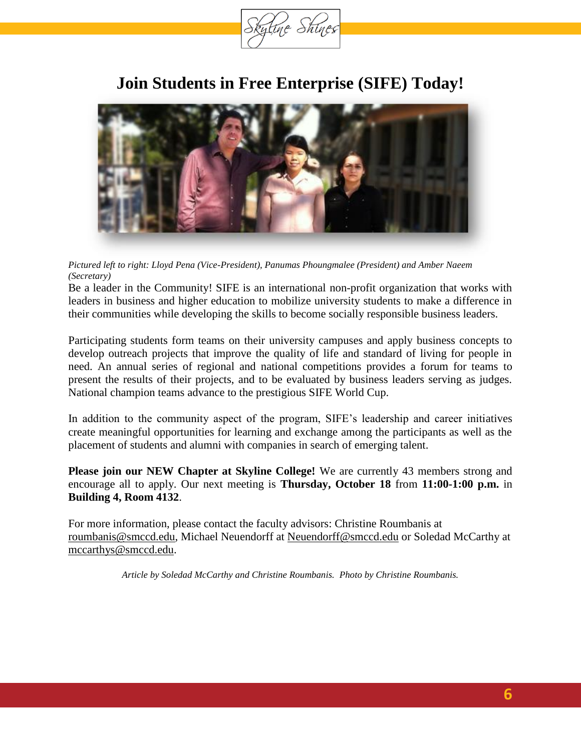

## **Join Students in Free Enterprise (SIFE) Today!**



#### *Pictured left to right: Lloyd Pena (Vice-President), Panumas Phoungmalee (President) and Amber Naeem (Secretary)*

Be a leader in the Community! SIFE is an international non-profit organization that works with leaders in business and higher education to mobilize university students to make a difference in their communities while developing the skills to become socially responsible business leaders.

Participating students form teams on their university campuses and apply business concepts to develop outreach projects that improve the quality of life and standard of living for people in need. An annual series of regional and national competitions provides a forum for teams to present the results of their projects, and to be evaluated by business leaders serving as judges. National champion teams advance to the prestigious SIFE World Cup.

In addition to the community aspect of the program, SIFE's leadership and career initiatives create meaningful opportunities for learning and exchange among the participants as well as the placement of students and alumni with companies in search of emerging talent.

**Please join our NEW Chapter at Skyline College!** We are currently 43 members strong and encourage all to apply. Our next meeting is **Thursday, October 18** from **11:00-1:00 p.m.** in **Building 4, Room 4132**.

For more information, please contact the faculty advisors: Christine Roumbanis at [roumbanis@smccd.edu,](mailto:roumbanis@smccd.edu) Michael Neuendorff at [Neuendorff@smccd.edu](mailto:Neuendorff@smccd.edu) or Soledad McCarthy at [mccarthys@smccd.edu.](mailto:mccarthys@smccd.edu)

*Article by Soledad McCarthy and Christine Roumbanis. Photo by Christine Roumbanis.*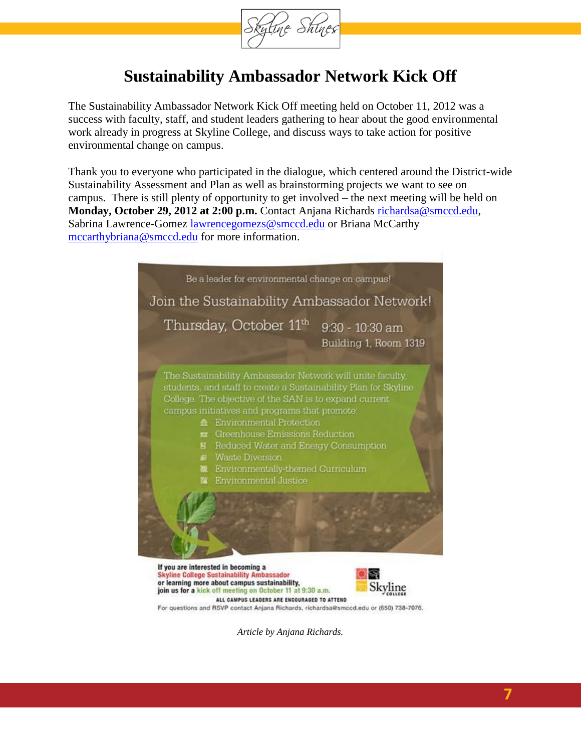

# **Sustainability Ambassador Network Kick Off**

The Sustainability Ambassador Network Kick Off meeting held on October 11, 2012 was a success with faculty, staff, and student leaders gathering to hear about the good environmental work already in progress at Skyline College, and discuss ways to take action for positive environmental change on campus.

Thank you to everyone who participated in the dialogue, which centered around the District-wide Sustainability Assessment and Plan as well as brainstorming projects we want to see on campus. There is still plenty of opportunity to get involved – the next meeting will be held on **Monday, October 29, 2012 at 2:00 p.m.** Contact Anjana Richards [richardsa@smccd.edu,](mailto:richardsa@smccd.edu) Sabrina Lawrence-Gomez [lawrencegomezs@smccd.edu](mailto:lawrencegomezs@smccd.edu) or Briana McCarthy [mccarthybriana@smccd.edu](mailto:mccarthybriana@smccd.edu) for more information.



**7**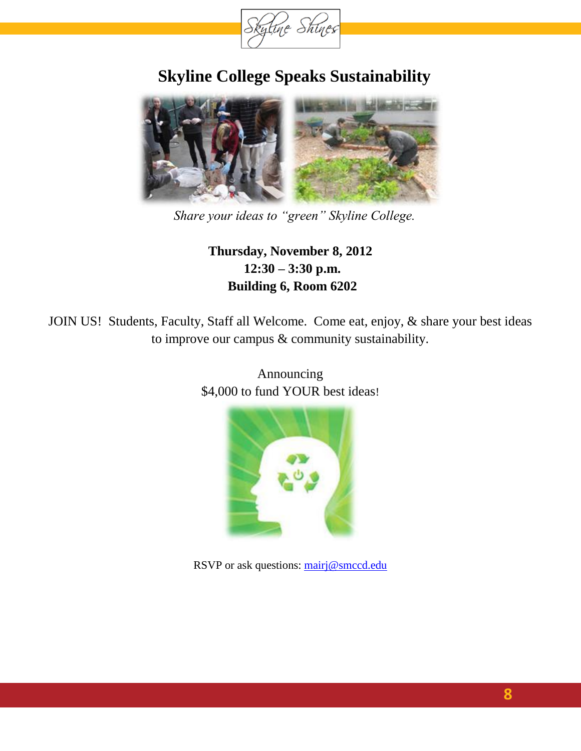

# **Skyline College Speaks Sustainability**



*Share your ideas to "green" Skyline College.*

### **Thursday, November 8, 2012 12:30 – 3:30 p.m. Building 6, Room 6202**

JOIN US! Students, Faculty, Staff all Welcome. Come eat, enjoy, & share your best ideas to improve our campus & community sustainability.



Announcing \$4,000 to fund YOUR best ideas!

RSVP or ask questions: [mairj@smccd.edu](mailto:mairj@smccd.edu)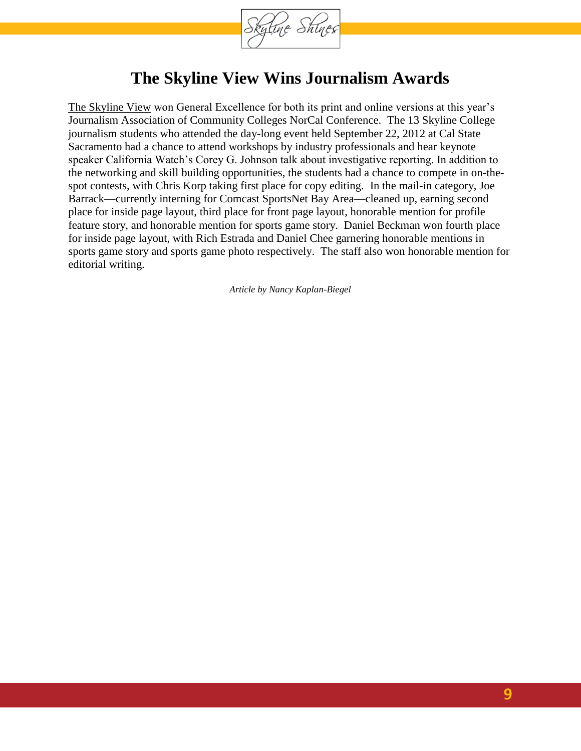

## **The Skyline View Wins Journalism Awards**

[The Skyline View](http://theskylineview.com/) won General Excellence for both its print and online versions at this year's Journalism Association of Community Colleges NorCal Conference. The 13 Skyline College journalism students who attended the day-long event held September 22, 2012 at Cal State Sacramento had a chance to attend workshops by industry professionals and hear keynote speaker California Watch's Corey G. Johnson talk about investigative reporting. In addition to the networking and skill building opportunities, the students had a chance to compete in on-thespot contests, with Chris Korp taking first place for copy editing. In the mail-in category, Joe Barrack—currently interning for Comcast SportsNet Bay Area—cleaned up, earning second place for inside page layout, third place for front page layout, honorable mention for profile feature story, and honorable mention for sports game story. Daniel Beckman won fourth place for inside page layout, with Rich Estrada and Daniel Chee garnering honorable mentions in sports game story and sports game photo respectively. The staff also won honorable mention for editorial writing.

*Article by Nancy Kaplan-Biegel*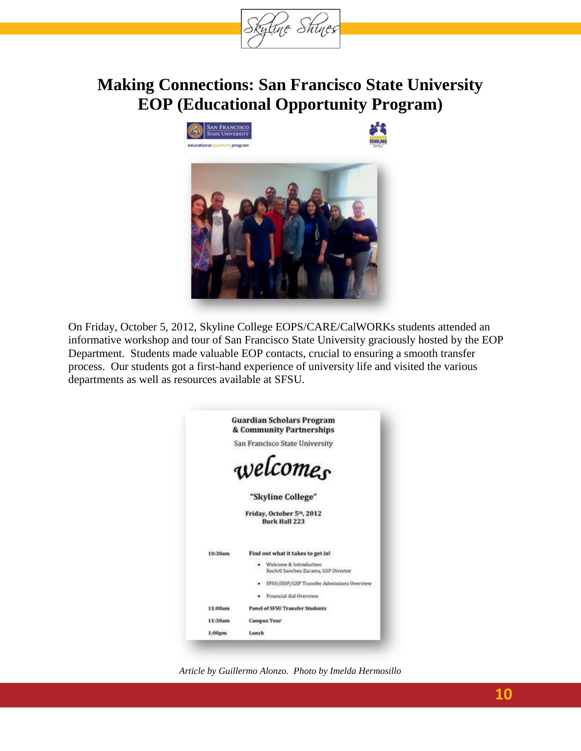

## **Making Connections: San Francisco State University EOP (Educational Opportunity Program)**



On Friday, October 5, 2012, Skyline College EOPS/CARE/CalWORKs students attended an informative workshop and tour of San Francisco State University graciously hosted by the EOP Department. Students made valuable EOP contacts, crucial to ensuring a smooth transfer process. Our students got a first-hand experience of university life and visited the various departments as well as resources available at SFSU.



*Article by Guillermo Alonzo. Photo by Imelda Hermosillo*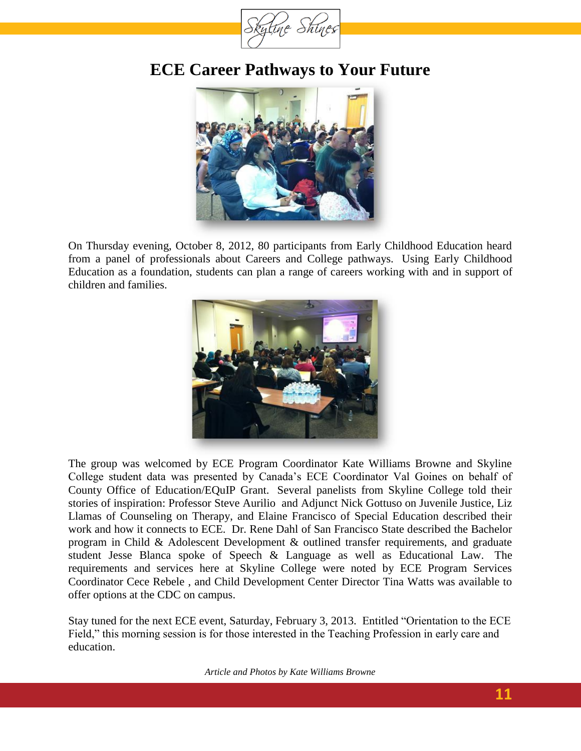

## **ECE Career Pathways to Your Future**



On Thursday evening, October 8, 2012, 80 participants from Early Childhood Education heard from a panel of professionals about Careers and College pathways. Using Early Childhood Education as a foundation, students can plan a range of careers working with and in support of children and families.



The group was welcomed by ECE Program Coordinator Kate Williams Browne and Skyline College student data was presented by Canada's ECE Coordinator Val Goines on behalf of County Office of Education/EQuIP Grant. Several panelists from Skyline College told their stories of inspiration: Professor Steve Aurilio and Adjunct Nick Gottuso on Juvenile Justice, Liz Llamas of Counseling on Therapy, and Elaine Francisco of Special Education described their work and how it connects to ECE. Dr. Rene Dahl of San Francisco State described the Bachelor program in Child & Adolescent Development & outlined transfer requirements, and graduate student Jesse Blanca spoke of Speech & Language as well as Educational Law. The requirements and services here at Skyline College were noted by ECE Program Services Coordinator Cece Rebele , and Child Development Center Director Tina Watts was available to offer options at the CDC on campus.

Stay tuned for the next ECE event, Saturday, February 3, 2013. Entitled "Orientation to the ECE Field," this morning session is for those interested in the Teaching Profession in early care and education.

*Article and Photos by Kate Williams Browne*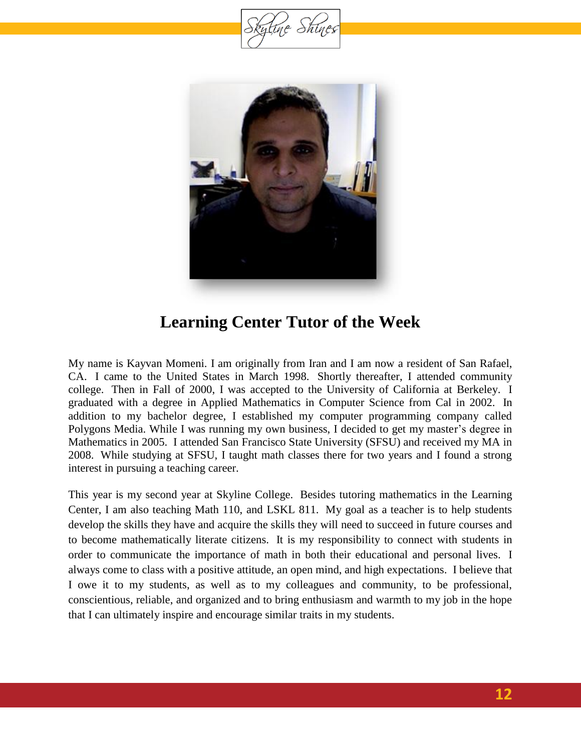tine Shine



## **Learning Center Tutor of the Week**

My name is Kayvan Momeni. I am originally from Iran and I am now a resident of San Rafael, CA. I came to the United States in March 1998. Shortly thereafter, I attended community college. Then in Fall of 2000, I was accepted to the University of California at Berkeley. I graduated with a degree in Applied Mathematics in Computer Science from Cal in 2002. In addition to my bachelor degree, I established my computer programming company called Polygons Media. While I was running my own business, I decided to get my master's degree in Mathematics in 2005. I attended San Francisco State University (SFSU) and received my MA in 2008. While studying at SFSU, I taught math classes there for two years and I found a strong interest in pursuing a teaching career.

This year is my second year at Skyline College. Besides tutoring mathematics in the Learning Center, I am also teaching Math 110, and LSKL 811. My goal as a teacher is to help students develop the skills they have and acquire the skills they will need to succeed in future courses and to become mathematically literate citizens. It is my responsibility to connect with students in order to communicate the importance of math in both their educational and personal lives. I always come to class with a positive attitude, an open mind, and high expectations. I believe that I owe it to my students, as well as to my colleagues and community, to be professional, conscientious, reliable, and organized and to bring enthusiasm and warmth to my job in the hope that I can ultimately inspire and encourage similar traits in my students.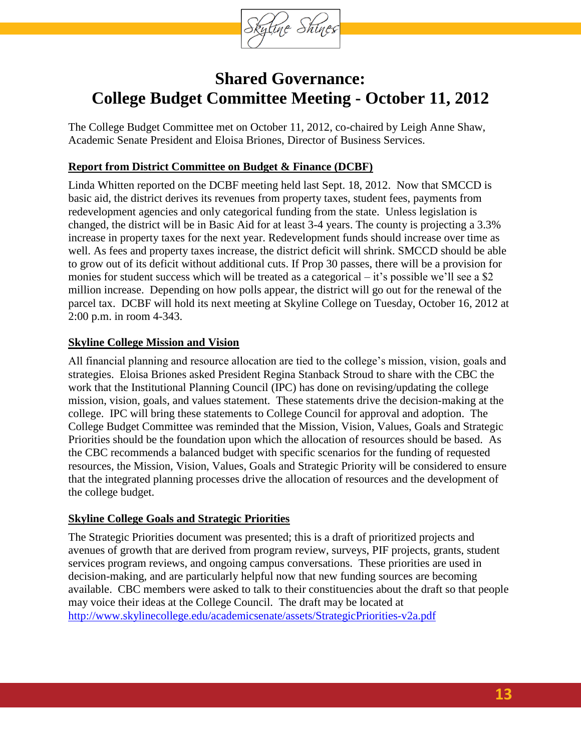

## **Shared Governance: College Budget Committee Meeting - October 11, 2012**

The College Budget Committee met on October 11, 2012, co-chaired by Leigh Anne Shaw, Academic Senate President and Eloisa Briones, Director of Business Services.

### **Report from District Committee on Budget & Finance (DCBF)**

Linda Whitten reported on the DCBF meeting held last Sept. 18, 2012. Now that SMCCD is basic aid, the district derives its revenues from property taxes, student fees, payments from redevelopment agencies and only categorical funding from the state. Unless legislation is changed, the district will be in Basic Aid for at least 3-4 years. The county is projecting a 3.3% increase in property taxes for the next year. Redevelopment funds should increase over time as well. As fees and property taxes increase, the district deficit will shrink. SMCCD should be able to grow out of its deficit without additional cuts. If Prop 30 passes, there will be a provision for monies for student success which will be treated as a categorical – it's possible we'll see a \$2 million increase. Depending on how polls appear, the district will go out for the renewal of the parcel tax. DCBF will hold its next meeting at Skyline College on Tuesday, October 16, 2012 at 2:00 p.m. in room 4-343.

#### **Skyline College Mission and Vision**

All financial planning and resource allocation are tied to the college's mission, vision, goals and strategies. Eloisa Briones asked President Regina Stanback Stroud to share with the CBC the work that the Institutional Planning Council (IPC) has done on revising/updating the college mission, vision, goals, and values statement. These statements drive the decision-making at the college. IPC will bring these statements to College Council for approval and adoption. The College Budget Committee was reminded that the Mission, Vision, Values, Goals and Strategic Priorities should be the foundation upon which the allocation of resources should be based. As the CBC recommends a balanced budget with specific scenarios for the funding of requested resources, the Mission, Vision, Values, Goals and Strategic Priority will be considered to ensure that the integrated planning processes drive the allocation of resources and the development of the college budget.

### **Skyline College Goals and Strategic Priorities**

The Strategic Priorities document was presented; this is a draft of prioritized projects and avenues of growth that are derived from program review, surveys, PIF projects, grants, student services program reviews, and ongoing campus conversations. These priorities are used in decision-making, and are particularly helpful now that new funding sources are becoming available. CBC members were asked to talk to their constituencies about the draft so that people may voice their ideas at the College Council. The draft may be located at <http://www.skylinecollege.edu/academicsenate/assets/StrategicPriorities-v2a.pdf>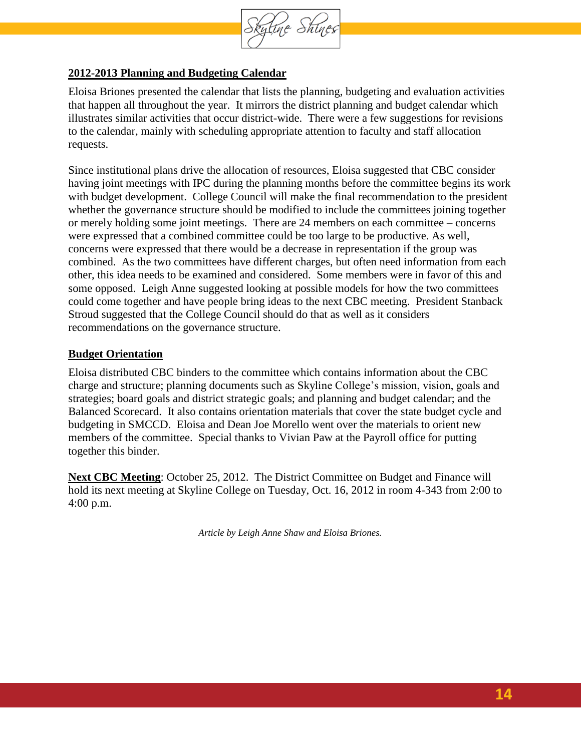

### **2012-2013 Planning and Budgeting Calendar**

Eloisa Briones presented the calendar that lists the planning, budgeting and evaluation activities that happen all throughout the year. It mirrors the district planning and budget calendar which illustrates similar activities that occur district-wide. There were a few suggestions for revisions to the calendar, mainly with scheduling appropriate attention to faculty and staff allocation requests.

Since institutional plans drive the allocation of resources, Eloisa suggested that CBC consider having joint meetings with IPC during the planning months before the committee begins its work with budget development. College Council will make the final recommendation to the president whether the governance structure should be modified to include the committees joining together or merely holding some joint meetings. There are 24 members on each committee – concerns were expressed that a combined committee could be too large to be productive. As well, concerns were expressed that there would be a decrease in representation if the group was combined. As the two committees have different charges, but often need information from each other, this idea needs to be examined and considered. Some members were in favor of this and some opposed. Leigh Anne suggested looking at possible models for how the two committees could come together and have people bring ideas to the next CBC meeting. President Stanback Stroud suggested that the College Council should do that as well as it considers recommendations on the governance structure.

#### **Budget Orientation**

Eloisa distributed CBC binders to the committee which contains information about the CBC charge and structure; planning documents such as Skyline College's mission, vision, goals and strategies; board goals and district strategic goals; and planning and budget calendar; and the Balanced Scorecard. It also contains orientation materials that cover the state budget cycle and budgeting in SMCCD. Eloisa and Dean Joe Morello went over the materials to orient new members of the committee. Special thanks to Vivian Paw at the Payroll office for putting together this binder.

**Next CBC Meeting**: October 25, 2012. The District Committee on Budget and Finance will hold its next meeting at Skyline College on Tuesday, Oct. 16, 2012 in room 4-343 from 2:00 to 4:00 p.m.

*Article by Leigh Anne Shaw and Eloisa Briones.*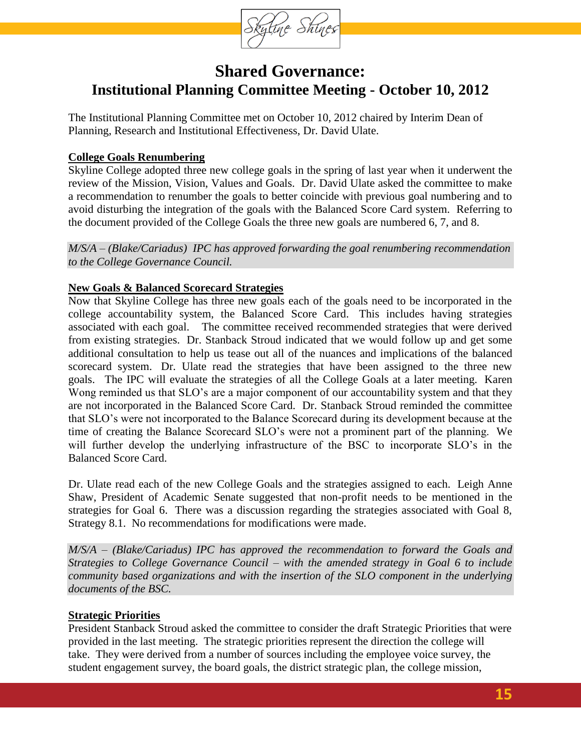

## **Shared Governance: Institutional Planning Committee Meeting - October 10, 2012**

<span id="page-14-0"></span>The Institutional Planning Committee met on October 10, 2012 chaired by Interim Dean of Planning, Research and Institutional Effectiveness, Dr. David Ulate.

### **College Goals Renumbering**

Skyline College adopted three new college goals in the spring of last year when it underwent the review of the Mission, Vision, Values and Goals. Dr. David Ulate asked the committee to make a recommendation to renumber the goals to better coincide with previous goal numbering and to avoid disturbing the integration of the goals with the Balanced Score Card system. Referring to the document provided of the College Goals the three new goals are numbered 6, 7, and 8.

*M/S/A – (Blake/Cariadus) IPC has approved forwarding the goal renumbering recommendation to the College Governance Council.*

### **New Goals & Balanced Scorecard Strategies**

Now that Skyline College has three new goals each of the goals need to be incorporated in the college accountability system, the Balanced Score Card. This includes having strategies associated with each goal. The committee received recommended strategies that were derived from existing strategies. Dr. Stanback Stroud indicated that we would follow up and get some additional consultation to help us tease out all of the nuances and implications of the balanced scorecard system. Dr. Ulate read the strategies that have been assigned to the three new goals. The IPC will evaluate the strategies of all the College Goals at a later meeting. Karen Wong reminded us that SLO's are a major component of our accountability system and that they are not incorporated in the Balanced Score Card. Dr. Stanback Stroud reminded the committee that SLO's were not incorporated to the Balance Scorecard during its development because at the time of creating the Balance Scorecard SLO's were not a prominent part of the planning. We will further develop the underlying infrastructure of the BSC to incorporate SLO's in the Balanced Score Card.

Dr. Ulate read each of the new College Goals and the strategies assigned to each. Leigh Anne Shaw, President of Academic Senate suggested that non-profit needs to be mentioned in the strategies for Goal 6. There was a discussion regarding the strategies associated with Goal 8, Strategy 8.1. No recommendations for modifications were made.

*M/S/A – (Blake/Cariadus) IPC has approved the recommendation to forward the Goals and Strategies to College Governance Council – with the amended strategy in Goal 6 to include community based organizations and with the insertion of the SLO component in the underlying documents of the BSC.*

### **Strategic Priorities**

President Stanback Stroud asked the committee to consider the draft Strategic Priorities that were provided in the last meeting. The strategic priorities represent the direction the college will take. They were derived from a number of sources including the employee voice survey, the student engagement survey, the board goals, the district strategic plan, the college mission,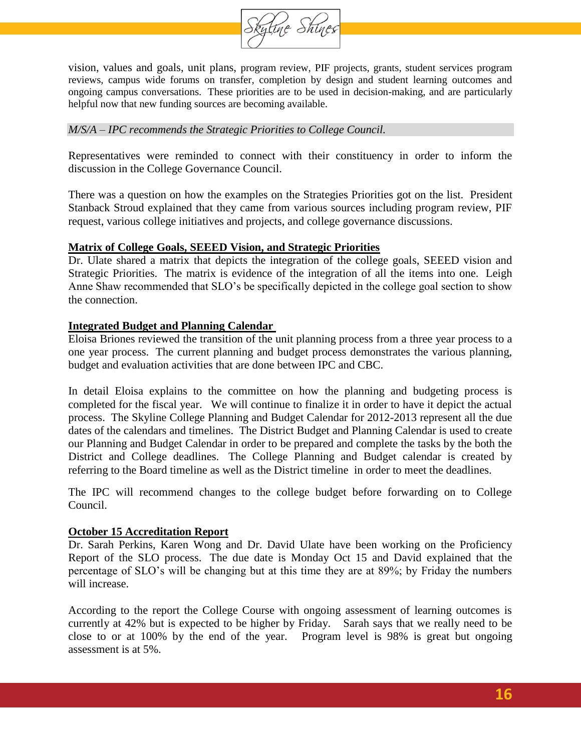

vision, values and goals, unit plans, program review, PIF projects, grants, student services program reviews, campus wide forums on transfer, completion by design and student learning outcomes and ongoing campus conversations. These priorities are to be used in decision-making, and are particularly helpful now that new funding sources are becoming available.

#### *M/S/A – IPC recommends the Strategic Priorities to College Council.*

Representatives were reminded to connect with their constituency in order to inform the discussion in the College Governance Council.

There was a question on how the examples on the Strategies Priorities got on the list. President Stanback Stroud explained that they came from various sources including program review, PIF request, various college initiatives and projects, and college governance discussions.

#### **Matrix of College Goals, SEEED Vision, and Strategic Priorities**

Dr. Ulate shared a matrix that depicts the integration of the college goals, SEEED vision and Strategic Priorities. The matrix is evidence of the integration of all the items into one. Leigh Anne Shaw recommended that SLO's be specifically depicted in the college goal section to show the connection.

#### **Integrated Budget and Planning Calendar**

Eloisa Briones reviewed the transition of the unit planning process from a three year process to a one year process. The current planning and budget process demonstrates the various planning, budget and evaluation activities that are done between IPC and CBC.

In detail Eloisa explains to the committee on how the planning and budgeting process is completed for the fiscal year. We will continue to finalize it in order to have it depict the actual process. The Skyline College Planning and Budget Calendar for 2012-2013 represent all the due dates of the calendars and timelines. The District Budget and Planning Calendar is used to create our Planning and Budget Calendar in order to be prepared and complete the tasks by the both the District and College deadlines. The College Planning and Budget calendar is created by referring to the Board timeline as well as the District timeline in order to meet the deadlines.

The IPC will recommend changes to the college budget before forwarding on to College Council.

#### **October 15 Accreditation Report**

Dr. Sarah Perkins, Karen Wong and Dr. David Ulate have been working on the Proficiency Report of the SLO process. The due date is Monday Oct 15 and David explained that the percentage of SLO's will be changing but at this time they are at 89%; by Friday the numbers will increase.

According to the report the College Course with ongoing assessment of learning outcomes is currently at 42% but is expected to be higher by Friday. Sarah says that we really need to be close to or at 100% by the end of the year. Program level is 98% is great but ongoing assessment is at 5%.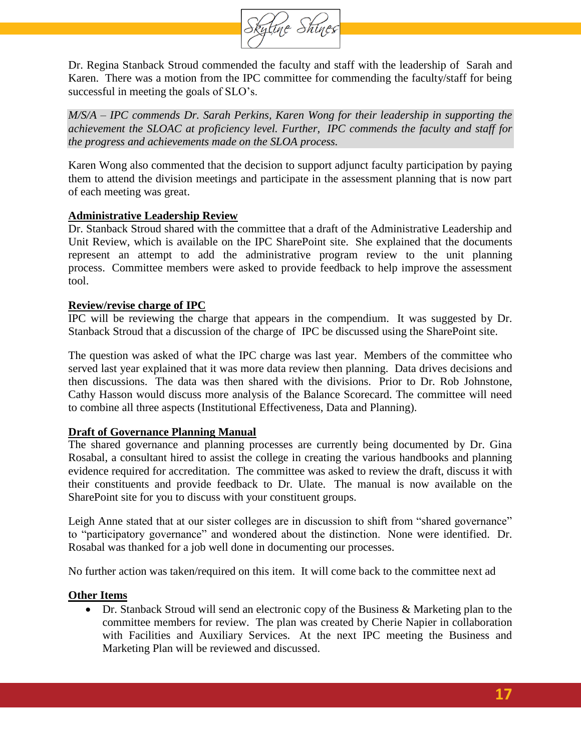

Dr. Regina Stanback Stroud commended the faculty and staff with the leadership of Sarah and Karen. There was a motion from the IPC committee for commending the faculty/staff for being successful in meeting the goals of SLO's.

*M/S/A – IPC commends Dr. Sarah Perkins, Karen Wong for their leadership in supporting the achievement the SLOAC at proficiency level. Further, IPC commends the faculty and staff for the progress and achievements made on the SLOA process.*

Karen Wong also commented that the decision to support adjunct faculty participation by paying them to attend the division meetings and participate in the assessment planning that is now part of each meeting was great.

#### **Administrative Leadership Review**

Dr. Stanback Stroud shared with the committee that a draft of the Administrative Leadership and Unit Review, which is available on the IPC SharePoint site. She explained that the documents represent an attempt to add the administrative program review to the unit planning process. Committee members were asked to provide feedback to help improve the assessment tool.

#### **Review/revise charge of IPC**

IPC will be reviewing the charge that appears in the compendium. It was suggested by Dr. Stanback Stroud that a discussion of the charge of IPC be discussed using the SharePoint site.

The question was asked of what the IPC charge was last year. Members of the committee who served last year explained that it was more data review then planning. Data drives decisions and then discussions. The data was then shared with the divisions. Prior to Dr. Rob Johnstone, Cathy Hasson would discuss more analysis of the Balance Scorecard. The committee will need to combine all three aspects (Institutional Effectiveness, Data and Planning).

### **Draft of Governance Planning Manual**

The shared governance and planning processes are currently being documented by Dr. Gina Rosabal, a consultant hired to assist the college in creating the various handbooks and planning evidence required for accreditation. The committee was asked to review the draft, discuss it with their constituents and provide feedback to Dr. Ulate. The manual is now available on the SharePoint site for you to discuss with your constituent groups.

Leigh Anne stated that at our sister colleges are in discussion to shift from "shared governance" to "participatory governance" and wondered about the distinction. None were identified. Dr. Rosabal was thanked for a job well done in documenting our processes.

No further action was taken/required on this item. It will come back to the committee next ad

#### **Other Items**

 Dr. Stanback Stroud will send an electronic copy of the Business & Marketing plan to the committee members for review. The plan was created by Cherie Napier in collaboration with Facilities and Auxiliary Services. At the next IPC meeting the Business and Marketing Plan will be reviewed and discussed.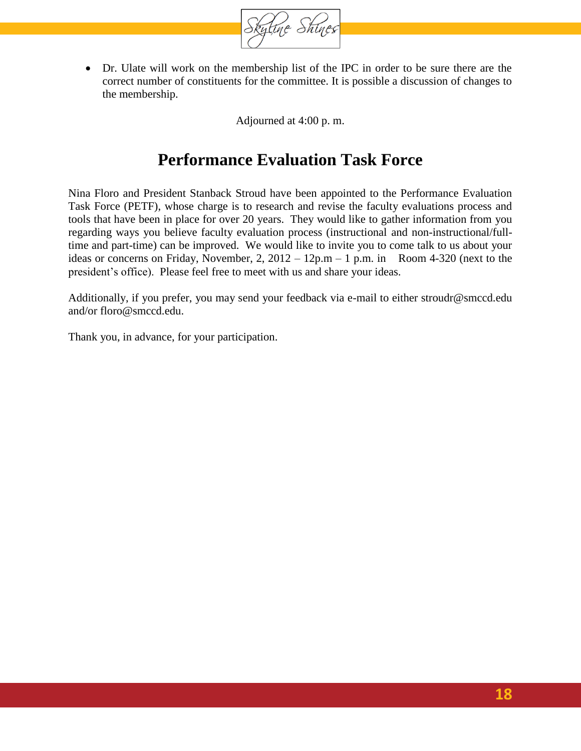

 Dr. Ulate will work on the membership list of the IPC in order to be sure there are the correct number of constituents for the committee. It is possible a discussion of changes to the membership.

Adjourned at 4:00 p. m.

## **Performance Evaluation Task Force**

<span id="page-17-0"></span>Nina Floro and President Stanback Stroud have been appointed to the Performance Evaluation Task Force (PETF), whose charge is to research and revise the faculty evaluations process and tools that have been in place for over 20 years. They would like to gather information from you regarding ways you believe faculty evaluation process (instructional and non-instructional/fulltime and part-time) can be improved. We would like to invite you to come talk to us about your ideas or concerns on Friday, November, 2,  $2012 - 12p.m - 1 p.m.$  in Room 4-320 (next to the president's office). Please feel free to meet with us and share your ideas.

Additionally, if you prefer, you may send your feedback via e-mail to either [stroudr@smccd.edu](mailto:stroudr@smccd.edu) and/or [floro@smccd.edu.](mailto:floro@smccd.edu)

Thank you, in advance, for your participation.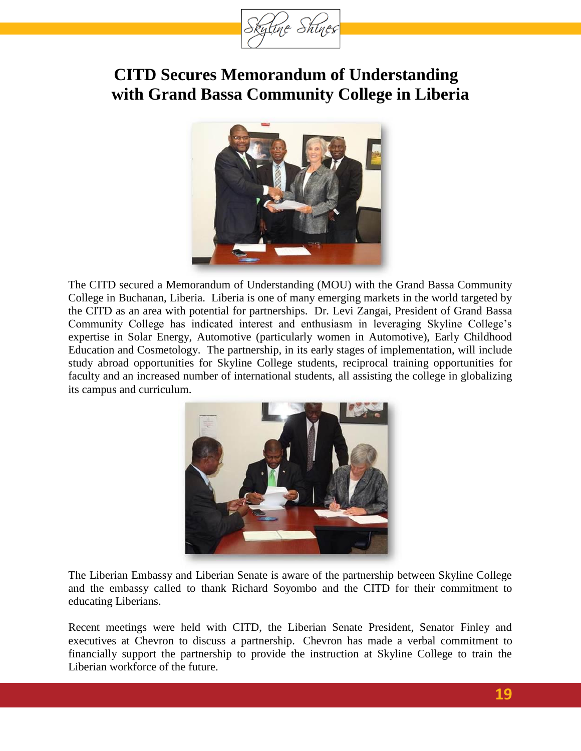

## **CITD Secures Memorandum of Understanding with Grand Bassa Community College in Liberia**



The CITD secured a Memorandum of Understanding (MOU) with the Grand Bassa Community College in Buchanan, Liberia. Liberia is one of many emerging markets in the world targeted by the CITD as an area with potential for partnerships. Dr. Levi Zangai, President of Grand Bassa Community College has indicated interest and enthusiasm in leveraging Skyline College's expertise in Solar Energy, Automotive (particularly women in Automotive), Early Childhood Education and Cosmetology. The partnership, in its early stages of implementation, will include study abroad opportunities for Skyline College students, reciprocal training opportunities for faculty and an increased number of international students, all assisting the college in globalizing its campus and curriculum.



The Liberian Embassy and Liberian Senate is aware of the partnership between Skyline College and the embassy called to thank Richard Soyombo and the CITD for their commitment to educating Liberians.

Recent meetings were held with CITD, the Liberian Senate President, Senator Finley and executives at Chevron to discuss a partnership. Chevron has made a verbal commitment to financially support the partnership to provide the instruction at Skyline College to train the Liberian workforce of the future.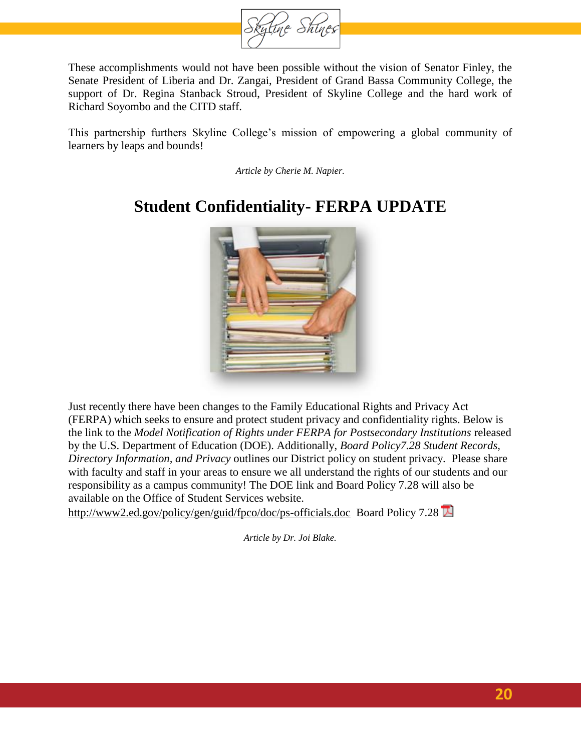

These accomplishments would not have been possible without the vision of Senator Finley, the Senate President of Liberia and Dr. Zangai, President of Grand Bassa Community College, the support of Dr. Regina Stanback Stroud, President of Skyline College and the hard work of Richard Soyombo and the CITD staff.

This partnership furthers Skyline College's mission of empowering a global community of learners by leaps and bounds!

*Article by Cherie M. Napier.*

# **Student Confidentiality- FERPA UPDATE**



Just recently there have been changes to the Family Educational Rights and Privacy Act (FERPA) which seeks to ensure and protect student privacy and confidentiality rights. Below is the link to the *Model Notification of Rights under FERPA for Postsecondary Institutions* released by the U.S. Department of Education (DOE). Additionally, *Board Policy7.28 Student Records, Directory Information, and Privacy* outlines our District policy on student privacy. Please share with faculty and staff in your areas to ensure we all understand the rights of our students and our responsibility as a campus community! The DOE link and Board Policy 7.28 will also be available on the Office of Student Services website.

<http://www2.ed.gov/policy/gen/guid/fpco/doc/ps-officials.doc>Board Policy 7.28

*Article by Dr. Joi Blake.*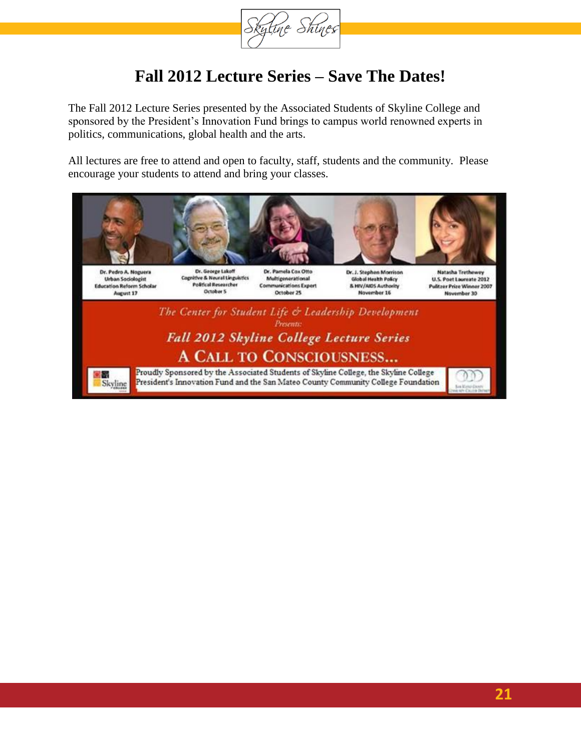

## **Fall 2012 Lecture Series – Save The Dates!**

The Fall 2012 Lecture Series presented by the Associated Students of Skyline College and sponsored by the President's Innovation Fund brings to campus world renowned experts in politics, communications, global health and the arts.

All lectures are free to attend and open to faculty, staff, students and the community. Please encourage your students to attend and bring your classes.

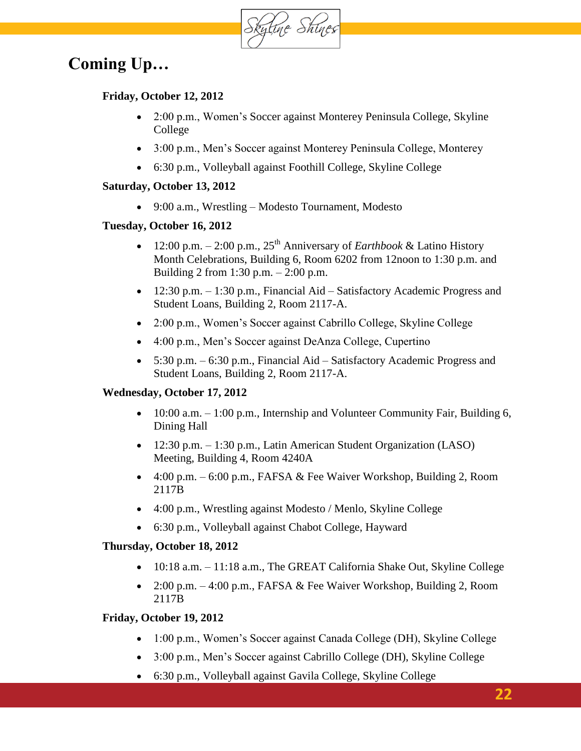Skytine Shines

# **Coming Up…**

### **Friday, October 12, 2012**

- 2:00 p.m., Women's Soccer against Monterey Peninsula College, Skyline College
- 3:00 p.m., Men's Soccer against Monterey Peninsula College, Monterey
- 6:30 p.m., Volleyball against Foothill College, Skyline College

### **Saturday, October 13, 2012**

9:00 a.m., Wrestling – Modesto Tournament, Modesto

### **Tuesday, October 16, 2012**

- 12:00 p.m.  $-2:00$  p.m.,  $25<sup>th</sup>$  Anniversary of *Earthbook* & Latino History Month Celebrations, Building 6, Room 6202 from 12noon to 1:30 p.m. and Building 2 from 1:30 p.m. – 2:00 p.m.
- 12:30 p.m. 1:30 p.m., Financial Aid Satisfactory Academic Progress and Student Loans, Building 2, Room 2117-A.
- 2:00 p.m., Women's Soccer against Cabrillo College, Skyline College
- 4:00 p.m., Men's Soccer against DeAnza College, Cupertino
- $\bullet$  5:30 p.m. 6:30 p.m., Financial Aid Satisfactory Academic Progress and Student Loans, Building 2, Room 2117-A.

### **Wednesday, October 17, 2012**

- $\bullet$  10:00 a.m.  $-1:00$  p.m., Internship and Volunteer Community Fair, Building 6, Dining Hall
- 12:30 p.m. 1:30 p.m., Latin American Student Organization (LASO) Meeting, Building 4, Room 4240A
- 4:00 p.m. 6:00 p.m., FAFSA & Fee Waiver Workshop, Building 2, Room 2117B
- 4:00 p.m., Wrestling against Modesto / Menlo, Skyline College
- 6:30 p.m., Volleyball against Chabot College, Hayward

### **Thursday, October 18, 2012**

- 10:18 a.m. 11:18 a.m., The GREAT California Shake Out, Skyline College
- 2:00 p.m. 4:00 p.m., FAFSA & Fee Waiver Workshop, Building 2, Room 2117B

### **Friday, October 19, 2012**

- 1:00 p.m., Women's Soccer against Canada College (DH), Skyline College
- 3:00 p.m., Men's Soccer against Cabrillo College (DH), Skyline College
- 6:30 p.m., Volleyball against Gavila College, Skyline College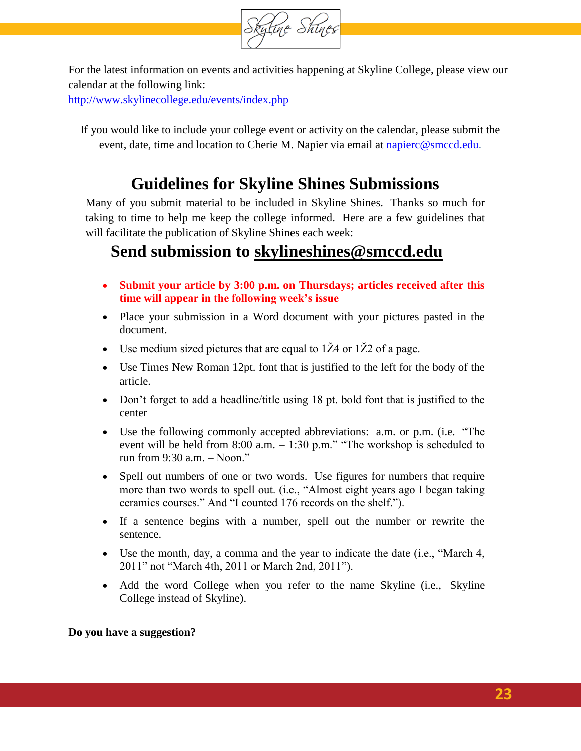

For the latest information on events and activities happening at Skyline College, please view our calendar at the following link:

<http://www.skylinecollege.edu/events/index.php>

If you would like to include your college event or activity on the calendar, please submit the event, date, time and location to Cherie M. Napier via email at [napierc@smccd.edu](mailto:napierc@smccd.edu).

## **Guidelines for Skyline Shines Submissions**

Many of you submit material to be included in Skyline Shines. Thanks so much for taking to time to help me keep the college informed. Here are a few guidelines that will facilitate the publication of Skyline Shines each week:

## **Send submission to [skylineshines@smccd.edu](mailto:skylineshines@smccd.edu)**

- **Submit your article by 3:00 p.m. on Thursdays; articles received after this time will appear in the following week's issue**
- Place your submission in a Word document with your pictures pasted in the document.
- Use medium sized pictures that are equal to  $1\overline{Z}4$  or  $1\overline{Z}2$  of a page.
- Use Times New Roman 12pt. font that is justified to the left for the body of the article.
- Don't forget to add a headline/title using 18 pt. bold font that is justified to the center
- Use the following commonly accepted abbreviations: a.m. or p.m. (i.e. "The event will be held from 8:00 a.m. – 1:30 p.m." "The workshop is scheduled to run from 9:30 a.m. – Noon."
- Spell out numbers of one or two words. Use figures for numbers that require more than two words to spell out. (i.e., "Almost eight years ago I began taking ceramics courses." And "I counted 176 records on the shelf.").
- If a sentence begins with a number, spell out the number or rewrite the sentence.
- Use the month, day, a comma and the year to indicate the date (i.e., "March 4, 2011" not "March 4th, 2011 or March 2nd, 2011").
- Add the word College when you refer to the name Skyline (i.e., Skyline College instead of Skyline).

**Do you have a suggestion?**